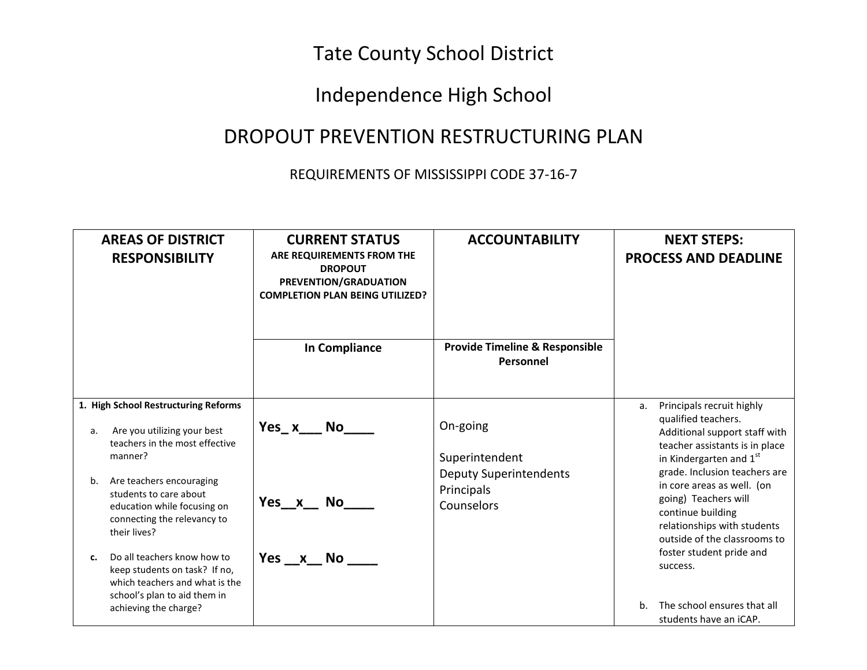## Tate County School District

## Independence High School

## DROPOUT PREVENTION RESTRUCTURING PLAN

## REQUIREMENTS OF MISSISSIPPI CODE 37-16-7

| <b>AREAS OF DISTRICT</b><br><b>RESPONSIBILITY</b>                                                                                                             | <b>CURRENT STATUS</b><br>ARE REQUIREMENTS FROM THE<br><b>DROPOUT</b><br>PREVENTION/GRADUATION<br><b>COMPLETION PLAN BEING UTILIZED?</b><br>In Compliance | <b>ACCOUNTABILITY</b><br><b>Provide Timeline &amp; Responsible</b> | <b>NEXT STEPS:</b><br><b>PROCESS AND DEADLINE</b>                                                                                                                       |
|---------------------------------------------------------------------------------------------------------------------------------------------------------------|----------------------------------------------------------------------------------------------------------------------------------------------------------|--------------------------------------------------------------------|-------------------------------------------------------------------------------------------------------------------------------------------------------------------------|
|                                                                                                                                                               |                                                                                                                                                          | Personnel                                                          |                                                                                                                                                                         |
| 1. High School Restructuring Reforms                                                                                                                          |                                                                                                                                                          |                                                                    | Principals recruit highly<br>a.                                                                                                                                         |
| Are you utilizing your best<br>a.<br>teachers in the most effective<br>manner?                                                                                | Yes x No                                                                                                                                                 | On-going<br>Superintendent                                         | qualified teachers.<br>Additional support staff with<br>teacher assistants is in place<br>in Kindergarten and 1st                                                       |
| Are teachers encouraging<br>b.<br>students to care about<br>education while focusing on<br>connecting the relevancy to<br>their lives?                        | Yes x No                                                                                                                                                 | <b>Deputy Superintendents</b><br>Principals<br>Counselors          | grade. Inclusion teachers are<br>in core areas as well. (on<br>going) Teachers will<br>continue building<br>relationships with students<br>outside of the classrooms to |
| Do all teachers know how to<br>c.<br>keep students on task? If no,<br>which teachers and what is the<br>school's plan to aid them in<br>achieving the charge? | Yes x No                                                                                                                                                 |                                                                    | foster student pride and<br>success.<br>The school ensures that all<br>h.<br>students have an iCAP.                                                                     |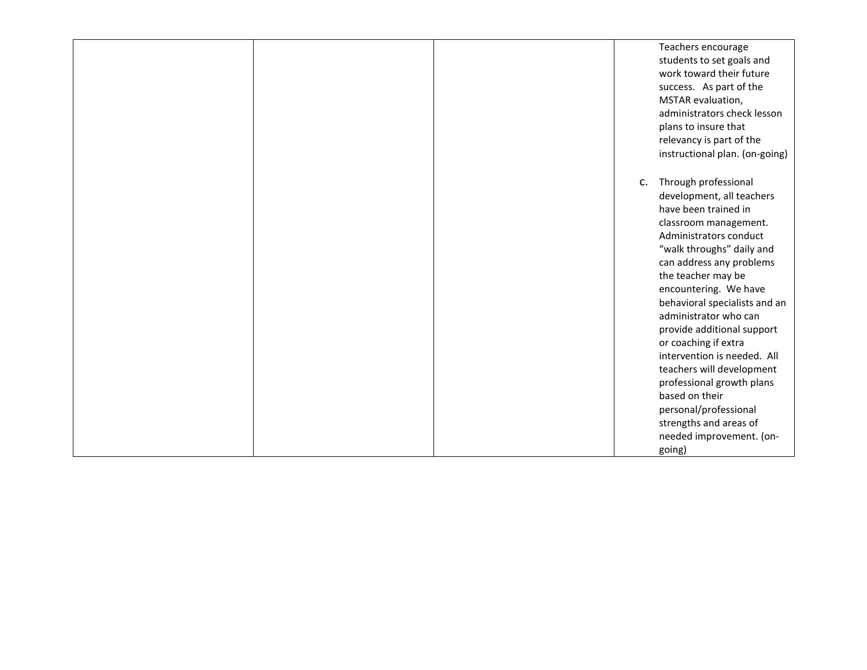|  | Teachers encourage<br>students to set goals and<br>work toward their future<br>success. As part of the<br>MSTAR evaluation,<br>administrators check lesson<br>plans to insure that<br>relevancy is part of the<br>instructional plan. (on-going)                                                                                                                                                                                                                                                                                                                        |
|--|-------------------------------------------------------------------------------------------------------------------------------------------------------------------------------------------------------------------------------------------------------------------------------------------------------------------------------------------------------------------------------------------------------------------------------------------------------------------------------------------------------------------------------------------------------------------------|
|  | Through professional<br>$C_{\star}$<br>development, all teachers<br>have been trained in<br>classroom management.<br>Administrators conduct<br>"walk throughs" daily and<br>can address any problems<br>the teacher may be<br>encountering. We have<br>behavioral specialists and an<br>administrator who can<br>provide additional support<br>or coaching if extra<br>intervention is needed. All<br>teachers will development<br>professional growth plans<br>based on their<br>personal/professional<br>strengths and areas of<br>needed improvement. (on-<br>going) |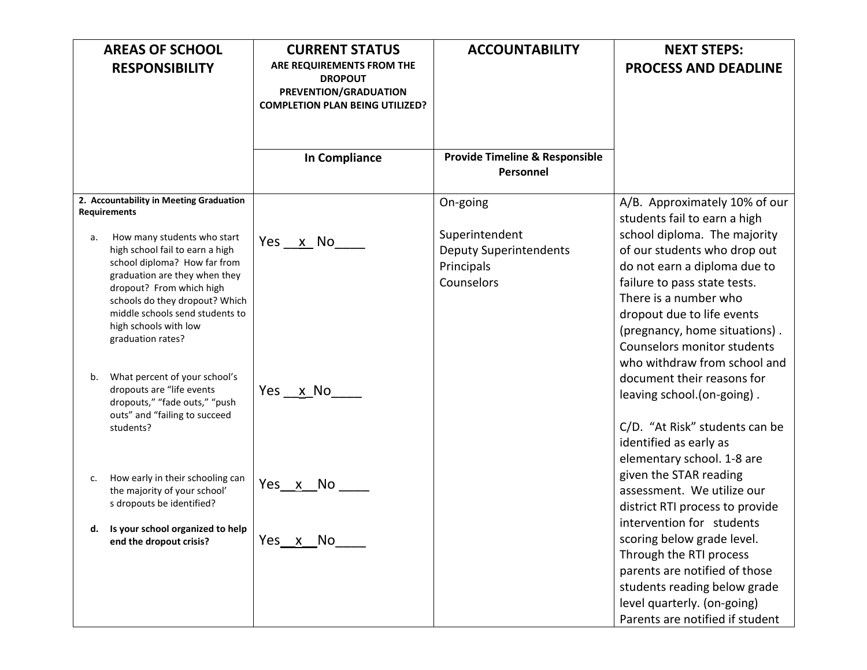|    | <b>AREAS OF SCHOOL</b>                                                                                                                                                                                                                                                         | <b>CURRENT STATUS</b>                                                                                          | <b>ACCOUNTABILITY</b>                                                       | <b>NEXT STEPS:</b>                                                                                                                                                                                                                                  |
|----|--------------------------------------------------------------------------------------------------------------------------------------------------------------------------------------------------------------------------------------------------------------------------------|----------------------------------------------------------------------------------------------------------------|-----------------------------------------------------------------------------|-----------------------------------------------------------------------------------------------------------------------------------------------------------------------------------------------------------------------------------------------------|
|    | <b>RESPONSIBILITY</b>                                                                                                                                                                                                                                                          | ARE REQUIREMENTS FROM THE<br><b>DROPOUT</b><br>PREVENTION/GRADUATION<br><b>COMPLETION PLAN BEING UTILIZED?</b> |                                                                             | <b>PROCESS AND DEADLINE</b>                                                                                                                                                                                                                         |
|    |                                                                                                                                                                                                                                                                                | <b>In Compliance</b>                                                                                           | <b>Provide Timeline &amp; Responsible</b><br>Personnel                      |                                                                                                                                                                                                                                                     |
|    | 2. Accountability in Meeting Graduation<br><b>Requirements</b>                                                                                                                                                                                                                 |                                                                                                                | On-going                                                                    | A/B. Approximately 10% of our<br>students fail to earn a high                                                                                                                                                                                       |
| а. | How many students who start<br>high school fail to earn a high<br>school diploma? How far from<br>graduation are they when they<br>dropout? From which high<br>schools do they dropout? Which<br>middle schools send students to<br>high schools with low<br>graduation rates? | Yes x No                                                                                                       | Superintendent<br><b>Deputy Superintendents</b><br>Principals<br>Counselors | school diploma. The majority<br>of our students who drop out<br>do not earn a diploma due to<br>failure to pass state tests.<br>There is a number who<br>dropout due to life events<br>(pregnancy, home situations).<br>Counselors monitor students |
| b. | What percent of your school's<br>dropouts are "life events<br>dropouts," "fade outs," "push<br>outs" and "failing to succeed<br>students?                                                                                                                                      | Yes <u>x</u> No                                                                                                |                                                                             | who withdraw from school and<br>document their reasons for<br>leaving school.(on-going).<br>C/D. "At Risk" students can be<br>identified as early as                                                                                                |
| c. | How early in their schooling can<br>the majority of your school'<br>s dropouts be identified?                                                                                                                                                                                  | Yes x No                                                                                                       |                                                                             | elementary school. 1-8 are<br>given the STAR reading<br>assessment. We utilize our<br>district RTI process to provide                                                                                                                               |
|    | Is your school organized to help<br>end the dropout crisis?                                                                                                                                                                                                                    | Yes x No                                                                                                       |                                                                             | intervention for students<br>scoring below grade level.<br>Through the RTI process<br>parents are notified of those<br>students reading below grade<br>level quarterly. (on-going)<br>Parents are notified if student                               |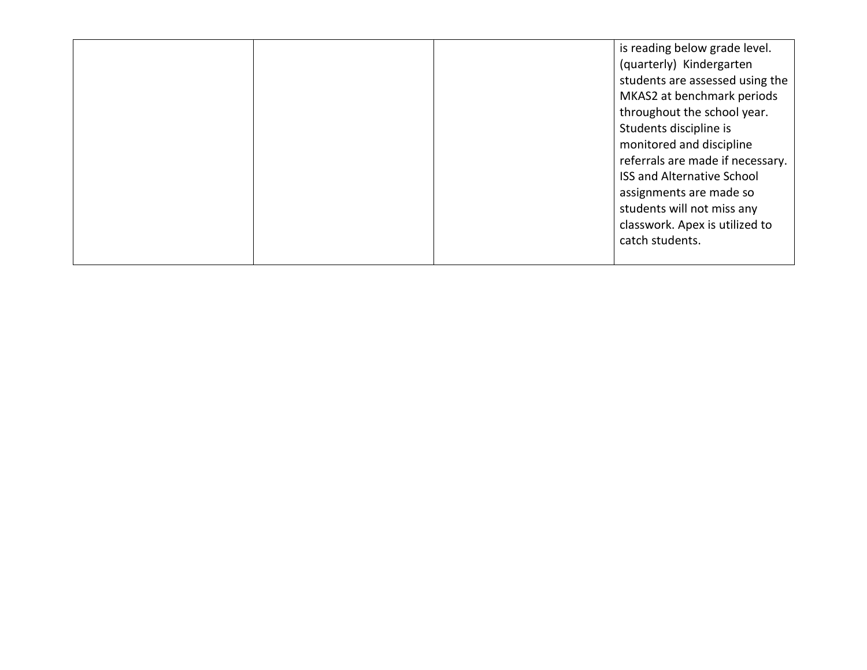|  | is reading below grade level.     |
|--|-----------------------------------|
|  | (quarterly) Kindergarten          |
|  | students are assessed using the   |
|  | MKAS2 at benchmark periods        |
|  | throughout the school year.       |
|  | Students discipline is            |
|  | monitored and discipline          |
|  | referrals are made if necessary.  |
|  | <b>ISS and Alternative School</b> |
|  | assignments are made so           |
|  | students will not miss any        |
|  | classwork. Apex is utilized to    |
|  | catch students.                   |
|  |                                   |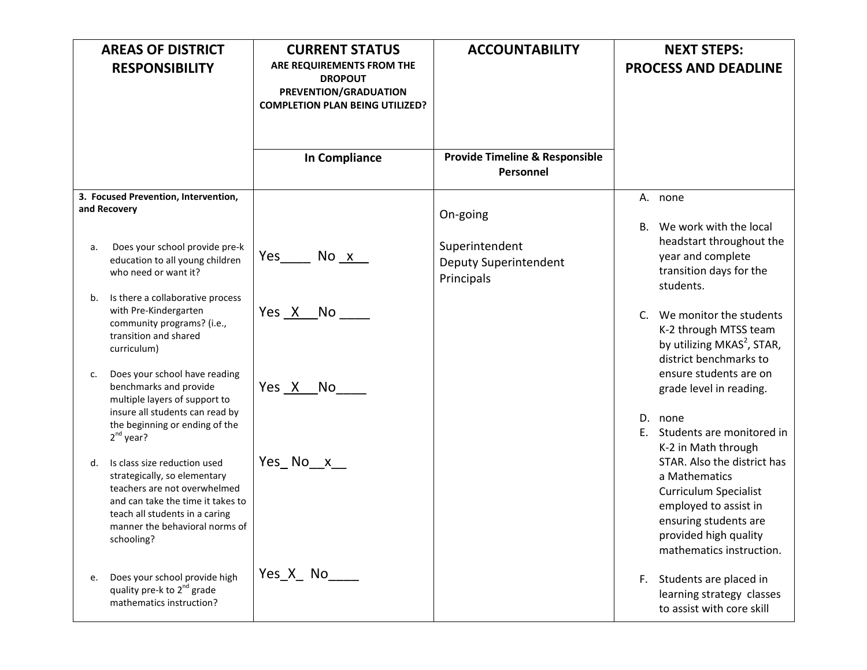|          | <b>AREAS OF DISTRICT</b><br><b>RESPONSIBILITY</b>                                                                                                                                                                   | <b>CURRENT STATUS</b><br>ARE REQUIREMENTS FROM THE<br><b>DROPOUT</b><br>PREVENTION/GRADUATION<br><b>COMPLETION PLAN BEING UTILIZED?</b> | <b>ACCOUNTABILITY</b>                       |                 | <b>NEXT STEPS:</b><br><b>PROCESS AND DEADLINE</b>                                                                                                                                   |
|----------|---------------------------------------------------------------------------------------------------------------------------------------------------------------------------------------------------------------------|-----------------------------------------------------------------------------------------------------------------------------------------|---------------------------------------------|-----------------|-------------------------------------------------------------------------------------------------------------------------------------------------------------------------------------|
|          |                                                                                                                                                                                                                     | In Compliance                                                                                                                           | Provide Timeline & Responsible<br>Personnel |                 |                                                                                                                                                                                     |
|          | 3. Focused Prevention, Intervention,<br>and Recovery<br>Does your school provide pre-k                                                                                                                              |                                                                                                                                         | On-going<br>Superintendent                  | А.<br><b>B.</b> | none<br>We work with the local<br>headstart throughout the                                                                                                                          |
| a.<br>b. | education to all young children<br>who need or want it?<br>Is there a collaborative process                                                                                                                         | $Yes_$<br>No x                                                                                                                          | Deputy Superintendent<br>Principals         |                 | year and complete<br>transition days for the<br>students.                                                                                                                           |
|          | with Pre-Kindergarten<br>community programs? (i.e.,<br>transition and shared<br>curriculum)                                                                                                                         | Yes X No                                                                                                                                |                                             | $C_{n}$         | We monitor the students<br>K-2 through MTSS team<br>by utilizing MKAS <sup>2</sup> , STAR,<br>district benchmarks to                                                                |
| c.       | Does your school have reading<br>benchmarks and provide<br>multiple layers of support to<br>insure all students can read by                                                                                         | Yes X No                                                                                                                                |                                             |                 | ensure students are on<br>grade level in reading.                                                                                                                                   |
|          | the beginning or ending of the<br>$2^{nd}$ year?                                                                                                                                                                    |                                                                                                                                         |                                             | D.<br>E.        | none<br>Students are monitored in<br>K-2 in Math through                                                                                                                            |
| d.       | Is class size reduction used<br>strategically, so elementary<br>teachers are not overwhelmed<br>and can take the time it takes to<br>teach all students in a caring<br>manner the behavioral norms of<br>schooling? |                                                                                                                                         |                                             |                 | STAR. Also the district has<br>a Mathematics<br><b>Curriculum Specialist</b><br>employed to assist in<br>ensuring students are<br>provided high quality<br>mathematics instruction. |
| e.       | Does your school provide high<br>quality pre-k to 2 <sup>nd</sup> grade<br>mathematics instruction?                                                                                                                 | Yes X No                                                                                                                                |                                             | F.              | Students are placed in<br>learning strategy classes<br>to assist with core skill                                                                                                    |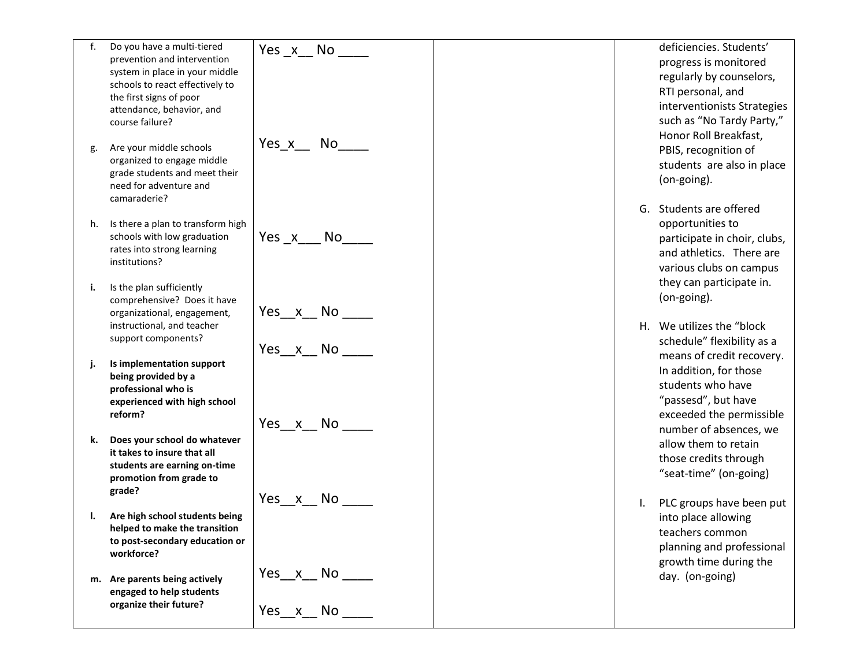| f. | Do you have a multi-tiered                 |                 | deficiencies. Students'      |
|----|--------------------------------------------|-----------------|------------------------------|
|    | prevention and intervention                | Yes $x$ No ____ |                              |
|    | system in place in your middle             |                 | progress is monitored        |
|    | schools to react effectively to            |                 | regularly by counselors,     |
|    | the first signs of poor                    |                 | RTI personal, and            |
|    | attendance, behavior, and                  |                 | interventionists Strategies  |
|    | course failure?                            |                 | such as "No Tardy Party,"    |
|    |                                            |                 | Honor Roll Breakfast,        |
| g. | Are your middle schools                    | Yes x No        | PBIS, recognition of         |
|    | organized to engage middle                 |                 |                              |
|    | grade students and meet their              |                 | students are also in place   |
|    | need for adventure and                     |                 | (on-going).                  |
|    | camaraderie?                               |                 |                              |
|    |                                            |                 | G. Students are offered      |
|    | h. Is there a plan to transform high       |                 | opportunities to             |
|    | schools with low graduation                | Yes x No        | participate in choir, clubs, |
|    | rates into strong learning                 |                 | and athletics. There are     |
|    | institutions?                              |                 | various clubs on campus      |
|    |                                            |                 | they can participate in.     |
| i. | Is the plan sufficiently                   |                 |                              |
|    | comprehensive? Does it have                |                 | (on-going).                  |
|    | organizational, engagement,                | Yes x No        |                              |
|    | instructional, and teacher                 |                 | H. We utilizes the "block"   |
|    | support components?                        |                 | schedule" flexibility as a   |
|    |                                            | Yes x No        | means of credit recovery.    |
| j. | Is implementation support                  |                 | In addition, for those       |
|    | being provided by a<br>professional who is |                 | students who have            |
|    | experienced with high school               |                 | "passesd", but have          |
|    | reform?                                    |                 | exceeded the permissible     |
|    |                                            | Yes x No        |                              |
| k. | Does your school do whatever               |                 | number of absences, we       |
|    | it takes to insure that all                |                 | allow them to retain         |
|    | students are earning on-time               |                 | those credits through        |
|    | promotion from grade to                    |                 | "seat-time" (on-going)       |
|    | grade?                                     |                 |                              |
|    |                                            | Yes x No        | PLC groups have been put     |
|    | Are high school students being             |                 | into place allowing          |
|    | helped to make the transition              |                 | teachers common              |
|    | to post-secondary education or             |                 | planning and professional    |
|    | workforce?                                 |                 |                              |
|    |                                            | Yes x No        | growth time during the       |
| m. | Are parents being actively                 |                 | day. (on-going)              |
|    | engaged to help students                   |                 |                              |
|    | organize their future?                     | Yes_ $x$ _No_   |                              |
|    |                                            |                 |                              |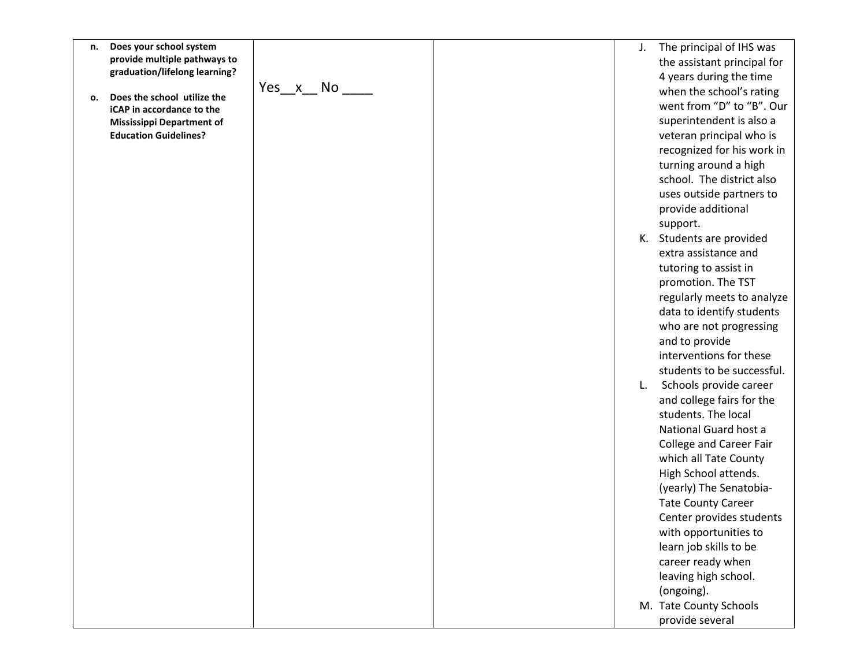- **n. Does your school system provide multiple pathways to graduation/lifelong learning?**
- **o. Does the school utilize the iCAP in accordance to the Mississippi Department of Education Guidelines?**

Yes  $x$  No  $\_\_$ 

- J. The principal of IHS was the assistant principal for 4 years during the time when the school's rating went from "D" to "B". Our superintendent is also a veteran principal who is recognized for his work in turning around a high school. The district also uses outside partners to provide additional support.
- K. Students are provided extra assistance and tutoring to assist in promotion. The TST regularly meets to analyze data to identify students who are not progressing and to provide interventions for these students to be successful.
- L. Schools provide career and college fairs for the students. The local National Guard host a College and Career Fair which all Tate County High School attends. (yearly) The Senatobia - Tate County Career Center provides students with opportunities to learn job skills to be career ready when leaving high school. (ongoing). M. Tate County Schools
	- provide several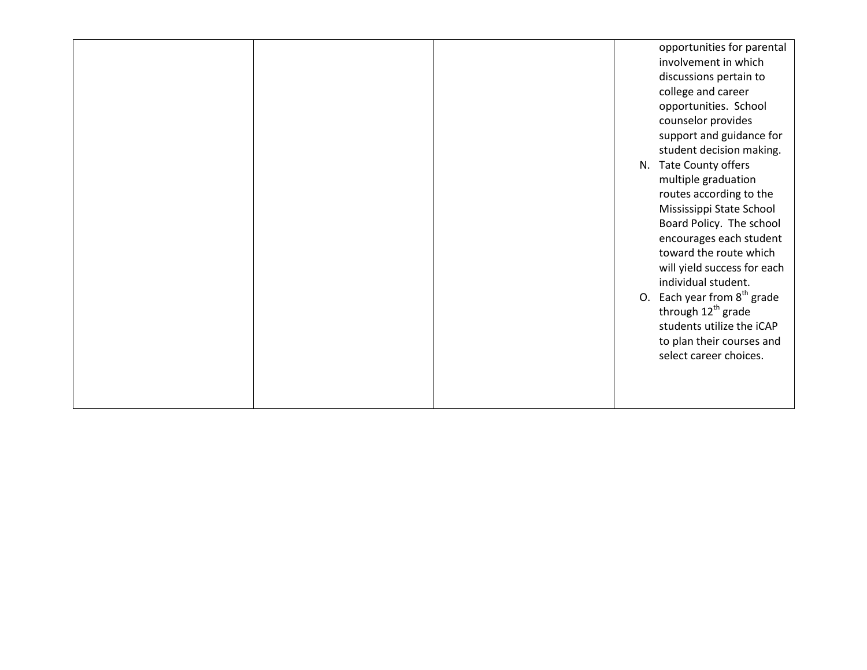|  | opportunities for parental                 |
|--|--------------------------------------------|
|  | involvement in which                       |
|  | discussions pertain to                     |
|  | college and career                         |
|  | opportunities. School                      |
|  | counselor provides                         |
|  | support and guidance for                   |
|  | student decision making.                   |
|  | N. Tate County offers                      |
|  | multiple graduation                        |
|  | routes according to the                    |
|  | Mississippi State School                   |
|  | Board Policy. The school                   |
|  | encourages each student                    |
|  | toward the route which                     |
|  | will yield success for each                |
|  | individual student.                        |
|  | Each year from 8 <sup>th</sup> grade<br>0. |
|  | through 12 <sup>th</sup> grade             |
|  | students utilize the iCAP                  |
|  | to plan their courses and                  |
|  | select career choices.                     |
|  |                                            |
|  |                                            |
|  |                                            |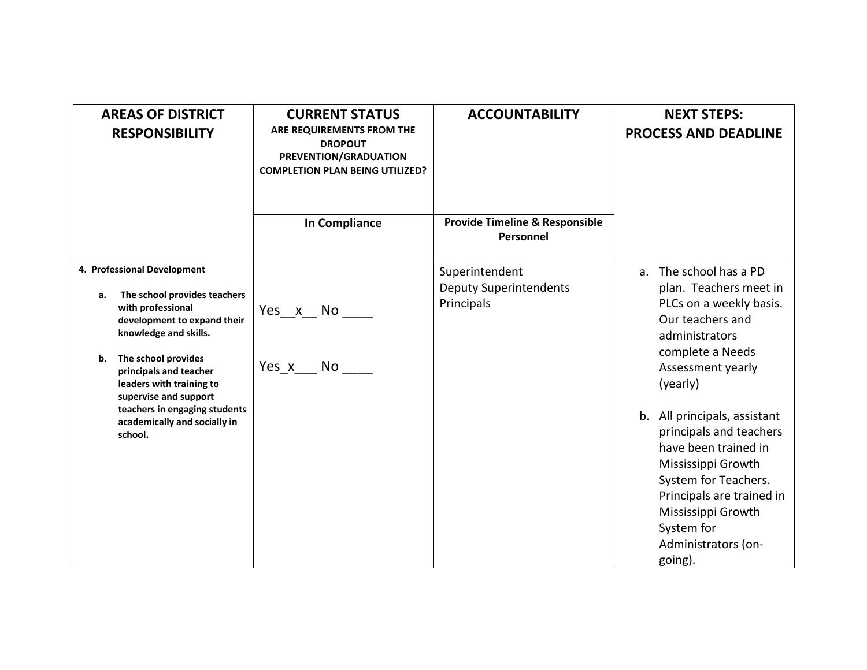| <b>AREAS OF DISTRICT</b><br><b>RESPONSIBILITY</b>                                                                                                                                                                                                                                                                                      | <b>CURRENT STATUS</b><br>ARE REQUIREMENTS FROM THE<br><b>DROPOUT</b><br>PREVENTION/GRADUATION<br><b>COMPLETION PLAN BEING UTILIZED?</b>                                                                                                             | <b>ACCOUNTABILITY</b>                                         | <b>NEXT STEPS:</b><br><b>PROCESS AND DEADLINE</b>                                                                                                                                                                                                                                                                                                                                                             |
|----------------------------------------------------------------------------------------------------------------------------------------------------------------------------------------------------------------------------------------------------------------------------------------------------------------------------------------|-----------------------------------------------------------------------------------------------------------------------------------------------------------------------------------------------------------------------------------------------------|---------------------------------------------------------------|---------------------------------------------------------------------------------------------------------------------------------------------------------------------------------------------------------------------------------------------------------------------------------------------------------------------------------------------------------------------------------------------------------------|
|                                                                                                                                                                                                                                                                                                                                        | In Compliance                                                                                                                                                                                                                                       | <b>Provide Timeline &amp; Responsible</b><br>Personnel        |                                                                                                                                                                                                                                                                                                                                                                                                               |
| 4. Professional Development<br>The school provides teachers<br>а.<br>with professional<br>development to expand their<br>knowledge and skills.<br>The school provides<br>b.<br>principals and teacher<br>leaders with training to<br>supervise and support<br>teachers in engaging students<br>academically and socially in<br>school. | Yes x No<br>Yes x<br>No lot in the set of the set of the set of the set of the set of the set of the set of the set of the set of the set of the set of the set of the set of the set of the set of the set of the set of the set of the set of the | Superintendent<br><b>Deputy Superintendents</b><br>Principals | The school has a PD<br>a.<br>plan. Teachers meet in<br>PLCs on a weekly basis.<br>Our teachers and<br>administrators<br>complete a Needs<br>Assessment yearly<br>(yearly)<br>b. All principals, assistant<br>principals and teachers<br>have been trained in<br>Mississippi Growth<br>System for Teachers.<br>Principals are trained in<br>Mississippi Growth<br>System for<br>Administrators (on-<br>going). |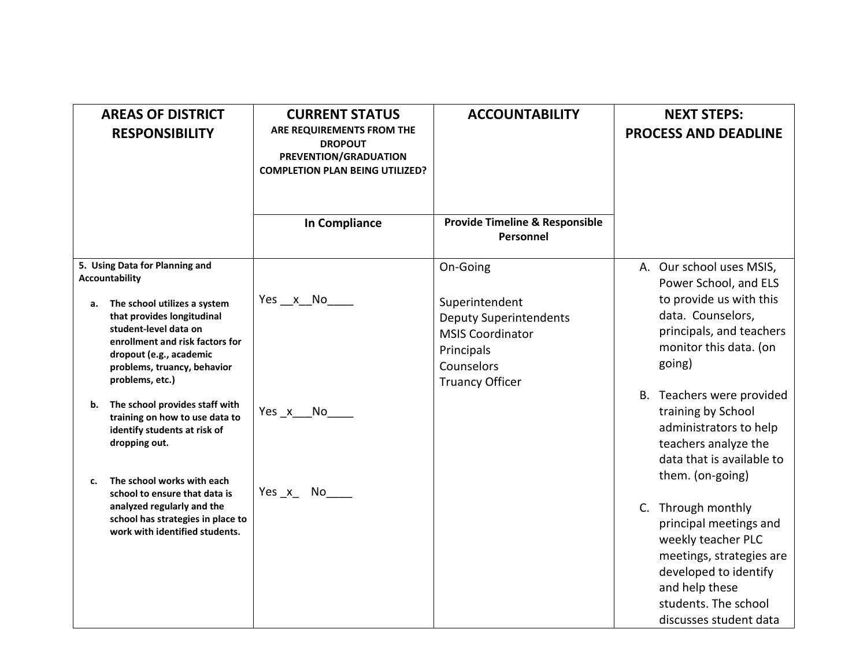| <b>AREAS OF DISTRICT</b><br><b>RESPONSIBILITY</b>                                                                                                                                                         | <b>CURRENT STATUS</b><br>ARE REQUIREMENTS FROM THE<br><b>DROPOUT</b><br>PREVENTION/GRADUATION<br><b>COMPLETION PLAN BEING UTILIZED?</b> | <b>ACCOUNTABILITY</b>                                                                                                            | <b>NEXT STEPS:</b><br><b>PROCESS AND DEADLINE</b>                                                                                                                                           |
|-----------------------------------------------------------------------------------------------------------------------------------------------------------------------------------------------------------|-----------------------------------------------------------------------------------------------------------------------------------------|----------------------------------------------------------------------------------------------------------------------------------|---------------------------------------------------------------------------------------------------------------------------------------------------------------------------------------------|
|                                                                                                                                                                                                           | <b>In Compliance</b>                                                                                                                    | <b>Provide Timeline &amp; Responsible</b><br>Personnel                                                                           |                                                                                                                                                                                             |
| 5. Using Data for Planning and<br><b>Accountability</b>                                                                                                                                                   |                                                                                                                                         | On-Going                                                                                                                         | A. Our school uses MSIS,<br>Power School, and ELS                                                                                                                                           |
| The school utilizes a system<br>а.<br>that provides longitudinal<br>student-level data on<br>enrollment and risk factors for<br>dropout (e.g., academic<br>problems, truancy, behavior<br>problems, etc.) | Yes x No                                                                                                                                | Superintendent<br><b>Deputy Superintendents</b><br><b>MSIS Coordinator</b><br>Principals<br>Counselors<br><b>Truancy Officer</b> | to provide us with this<br>data. Counselors,<br>principals, and teachers<br>monitor this data. (on<br>going)                                                                                |
| The school provides staff with<br>b.<br>training on how to use data to<br>identify students at risk of<br>dropping out.<br>The school works with each<br>c.                                               | Yes x No                                                                                                                                |                                                                                                                                  | B. Teachers were provided<br>training by School<br>administrators to help<br>teachers analyze the<br>data that is available to<br>them. (on-going)                                          |
| school to ensure that data is<br>analyzed regularly and the<br>school has strategies in place to<br>work with identified students.                                                                        | Yes $x$ No $\overline{\phantom{a}}$                                                                                                     |                                                                                                                                  | C. Through monthly<br>principal meetings and<br>weekly teacher PLC<br>meetings, strategies are<br>developed to identify<br>and help these<br>students. The school<br>discusses student data |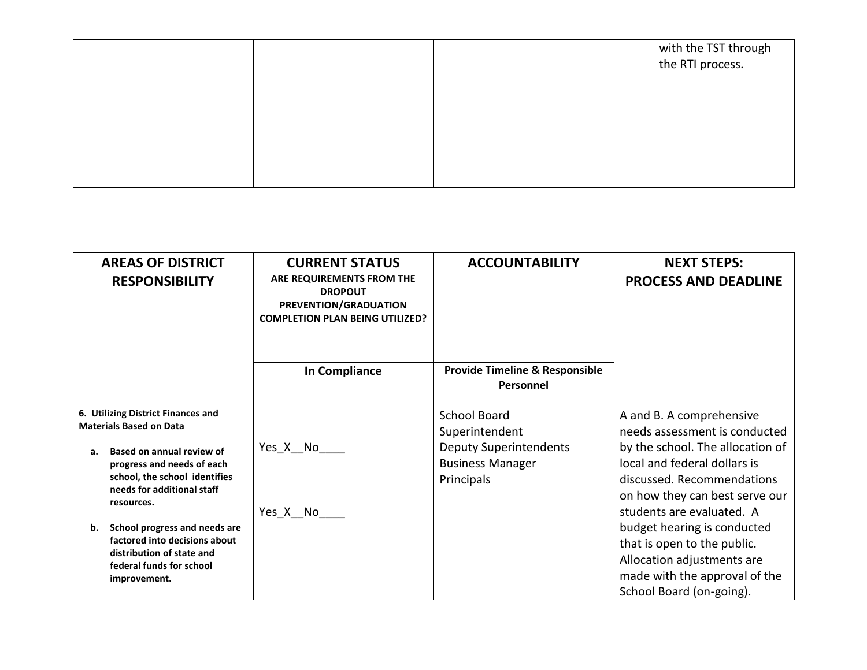|  | with the TST through<br>the RTI process. |
|--|------------------------------------------|
|  |                                          |
|  |                                          |
|  |                                          |
|  |                                          |
|  |                                          |
|  |                                          |
|  |                                          |
|  |                                          |

| <b>AREAS OF DISTRICT</b><br><b>RESPONSIBILITY</b>           | <b>CURRENT STATUS</b><br>ARE REQUIREMENTS FROM THE<br><b>DROPOUT</b><br>PREVENTION/GRADUATION<br><b>COMPLETION PLAN BEING UTILIZED?</b> | <b>ACCOUNTABILITY</b>                                  | <b>NEXT STEPS:</b><br><b>PROCESS AND DEADLINE</b>           |
|-------------------------------------------------------------|-----------------------------------------------------------------------------------------------------------------------------------------|--------------------------------------------------------|-------------------------------------------------------------|
|                                                             | In Compliance                                                                                                                           | <b>Provide Timeline &amp; Responsible</b><br>Personnel |                                                             |
| 6. Utilizing District Finances and                          |                                                                                                                                         | <b>School Board</b>                                    | A and B. A comprehensive                                    |
| <b>Materials Based on Data</b>                              |                                                                                                                                         | Superintendent                                         | needs assessment is conducted                               |
| Based on annual review of<br>а.                             | Yes_X__No_                                                                                                                              | <b>Deputy Superintendents</b>                          | by the school. The allocation of                            |
| progress and needs of each                                  |                                                                                                                                         | <b>Business Manager</b>                                | local and federal dollars is                                |
| school, the school identifies<br>needs for additional staff |                                                                                                                                         | Principals                                             | discussed. Recommendations                                  |
| resources.                                                  | Yes X No                                                                                                                                |                                                        | on how they can best serve our<br>students are evaluated. A |
| School progress and needs are<br>b.                         |                                                                                                                                         |                                                        | budget hearing is conducted                                 |
| factored into decisions about                               |                                                                                                                                         |                                                        | that is open to the public.                                 |
| distribution of state and<br>federal funds for school       |                                                                                                                                         |                                                        | Allocation adjustments are                                  |
| improvement.                                                |                                                                                                                                         |                                                        | made with the approval of the                               |
|                                                             |                                                                                                                                         |                                                        | School Board (on-going).                                    |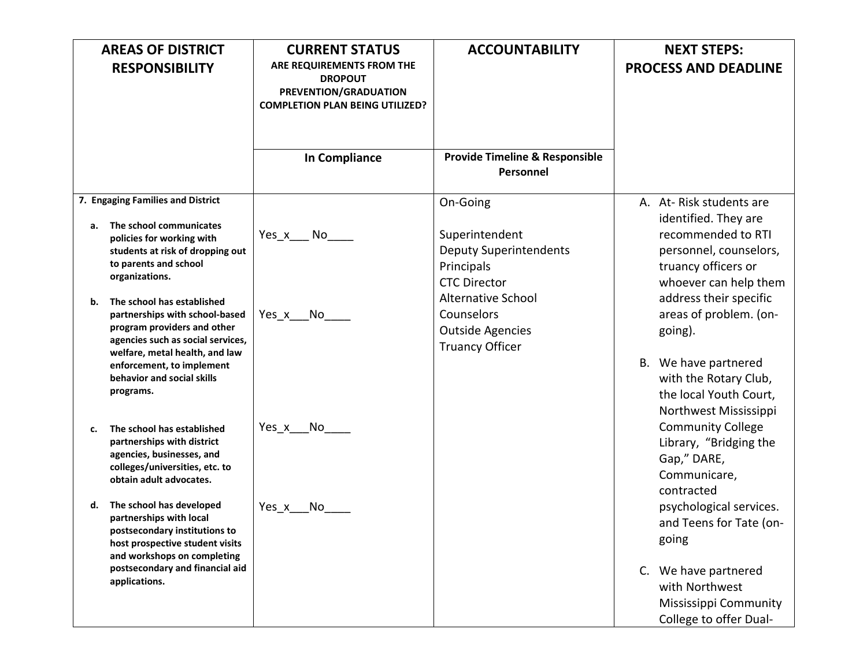|                                                                                                                                                                          | <b>AREAS OF DISTRICT</b>                                                                                                                               | <b>CURRENT STATUS</b>                                                                                          | <b>ACCOUNTABILITY</b>                                                                | <b>NEXT STEPS:</b>                                                                                                   |
|--------------------------------------------------------------------------------------------------------------------------------------------------------------------------|--------------------------------------------------------------------------------------------------------------------------------------------------------|----------------------------------------------------------------------------------------------------------------|--------------------------------------------------------------------------------------|----------------------------------------------------------------------------------------------------------------------|
|                                                                                                                                                                          | <b>RESPONSIBILITY</b>                                                                                                                                  | ARE REQUIREMENTS FROM THE<br><b>DROPOUT</b><br>PREVENTION/GRADUATION<br><b>COMPLETION PLAN BEING UTILIZED?</b> |                                                                                      | <b>PROCESS AND DEADLINE</b>                                                                                          |
|                                                                                                                                                                          |                                                                                                                                                        | <b>In Compliance</b>                                                                                           | <b>Provide Timeline &amp; Responsible</b><br>Personnel                               |                                                                                                                      |
|                                                                                                                                                                          | 7. Engaging Families and District                                                                                                                      |                                                                                                                | On-Going                                                                             | A. At-Risk students are                                                                                              |
| а.                                                                                                                                                                       | The school communicates<br>policies for working with<br>students at risk of dropping out<br>to parents and school<br>organizations.                    | Yes x No                                                                                                       | Superintendent<br><b>Deputy Superintendents</b><br>Principals<br><b>CTC Director</b> | identified. They are<br>recommended to RTI<br>personnel, counselors,<br>truancy officers or<br>whoever can help them |
| The school has established<br>b.<br>partnerships with school-based<br>program providers and other<br>agencies such as social services,<br>welfare, metal health, and law | Yes x No                                                                                                                                               | <b>Alternative School</b><br>Counselors<br><b>Outside Agencies</b><br><b>Truancy Officer</b>                   | address their specific<br>areas of problem. (on-<br>going).                          |                                                                                                                      |
|                                                                                                                                                                          | enforcement, to implement<br>behavior and social skills<br>programs.                                                                                   |                                                                                                                |                                                                                      | B. We have partnered<br>with the Rotary Club,<br>the local Youth Court,<br>Northwest Mississippi                     |
| c.                                                                                                                                                                       | The school has established<br>partnerships with district<br>agencies, businesses, and<br>colleges/universities, etc. to<br>obtain adult advocates.     | Yes x No                                                                                                       |                                                                                      | <b>Community College</b><br>Library, "Bridging the<br>Gap," DARE,<br>Communicare,<br>contracted                      |
| d.                                                                                                                                                                       | The school has developed<br>partnerships with local<br>postsecondary institutions to<br>host prospective student visits<br>and workshops on completing | Yes x<br>No                                                                                                    |                                                                                      | psychological services.<br>and Teens for Tate (on-<br>going                                                          |
|                                                                                                                                                                          | postsecondary and financial aid<br>applications.                                                                                                       |                                                                                                                |                                                                                      | C. We have partnered<br>with Northwest<br>Mississippi Community<br>College to offer Dual-                            |